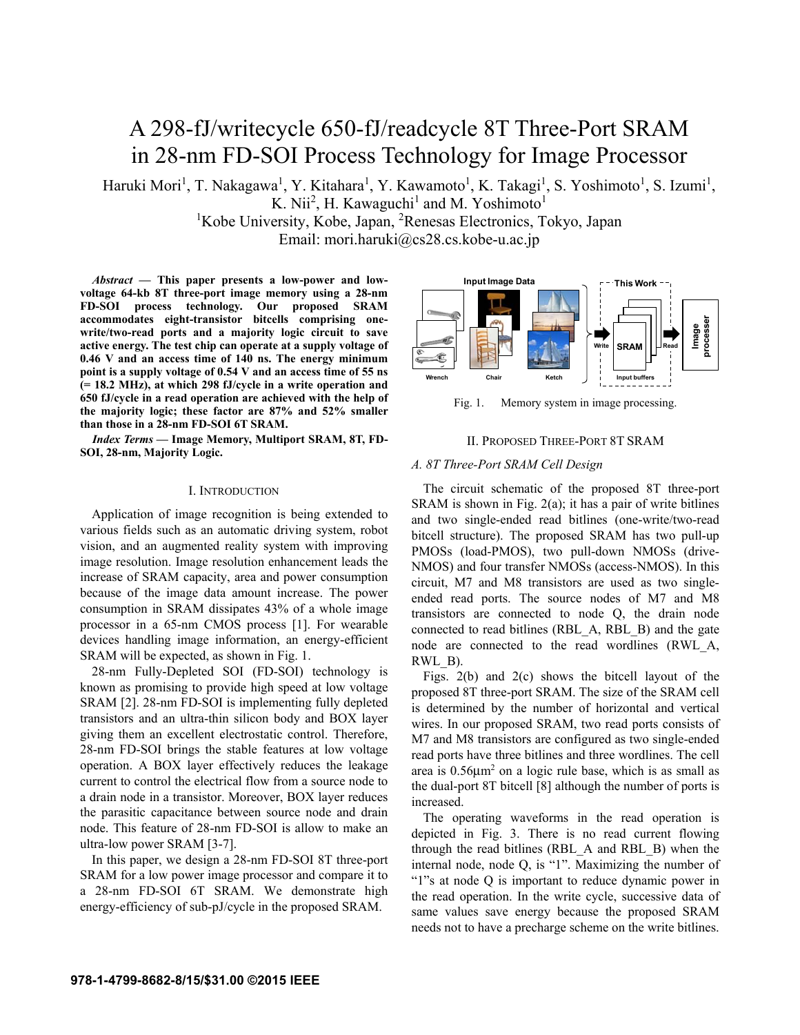# A 298-fJ/writecycle 650-fJ/readcycle 8T Three-Port SRAM in 28-nm FD-SOI Process Technology for Image Processor

Haruki Mori<sup>1</sup>, T. Nakagawa<sup>1</sup>, Y. Kitahara<sup>1</sup>, Y. Kawamoto<sup>1</sup>, K. Takagi<sup>1</sup>, S. Yoshimoto<sup>1</sup>, S. Izumi<sup>1</sup>, K. Nii<sup>2</sup>, H. Kawaguchi<sup>1</sup> and M. Yoshimoto<sup>1</sup>

<sup>1</sup>Kobe University, Kobe, Japan, <sup>2</sup>Renesas Electronics, Tokyo, Japan Email: mori.haruki@cs28.cs.kobe-u.ac.jp

*Abstract* **— This paper presents a low-power and lowvoltage 64-kb 8T three-port image memory using a 28-nm FD-SOI process technology. Our proposed SRAM accommodates eight-transistor bitcells comprising onewrite/two-read ports and a majority logic circuit to save active energy. The test chip can operate at a supply voltage of 0.46 V and an access time of 140 ns. The energy minimum point is a supply voltage of 0.54 V and an access time of 55 ns (= 18.2 MHz), at which 298 fJ/cycle in a write operation and 650 fJ/cycle in a read operation are achieved with the help of the majority logic; these factor are 87% and 52% smaller than those in a 28-nm FD-SOI 6T SRAM.** 

*Index Terms —* **Image Memory, Multiport SRAM, 8T, FD-SOI, 28-nm, Majority Logic.**

## I. INTRODUCTION

Application of image recognition is being extended to various fields such as an automatic driving system, robot vision, and an augmented reality system with improving image resolution. Image resolution enhancement leads the increase of SRAM capacity, area and power consumption because of the image data amount increase. The power consumption in SRAM dissipates 43% of a whole image processor in a 65-nm CMOS process [1]. For wearable devices handling image information, an energy-efficient SRAM will be expected, as shown in Fig. 1.

28-nm Fully-Depleted SOI (FD-SOI) technology is known as promising to provide high speed at low voltage SRAM [2]. 28-nm FD-SOI is implementing fully depleted transistors and an ultra-thin silicon body and BOX layer giving them an excellent electrostatic control. Therefore, 28-nm FD-SOI brings the stable features at low voltage operation. A BOX layer effectively reduces the leakage current to control the electrical flow from a source node to a drain node in a transistor. Moreover, BOX layer reduces the parasitic capacitance between source node and drain node. This feature of 28-nm FD-SOI is allow to make an ultra-low power SRAM [3-7].

In this paper, we design a 28-nm FD-SOI 8T three-port SRAM for a low power image processor and compare it to a 28-nm FD-SOI 6T SRAM. We demonstrate high energy-efficiency of sub-pJ/cycle in the proposed SRAM.



Fig. 1. Memory system in image processing.

## II. PROPOSED THREE-PORT 8T SRAM

## *A. 8T Three-Port SRAM Cell Design*

The circuit schematic of the proposed 8T three-port SRAM is shown in Fig. 2(a); it has a pair of write bitlines and two single-ended read bitlines (one-write/two-read bitcell structure). The proposed SRAM has two pull-up PMOSs (load-PMOS), two pull-down NMOSs (drive-NMOS) and four transfer NMOSs (access-NMOS). In this circuit, M7 and M8 transistors are used as two singleended read ports. The source nodes of M7 and M8 transistors are connected to node Q, the drain node connected to read bitlines (RBL\_A, RBL\_B) and the gate node are connected to the read wordlines (RWL\_A, RWL\_B).

Figs. 2(b) and 2(c) shows the bitcell layout of the proposed 8T three-port SRAM. The size of the SRAM cell is determined by the number of horizontal and vertical wires. In our proposed SRAM, two read ports consists of M7 and M8 transistors are configured as two single-ended read ports have three bitlines and three wordlines. The cell area is  $0.56 \mu m^2$  on a logic rule base, which is as small as the dual-port 8T bitcell [8] although the number of ports is increased.

The operating waveforms in the read operation is depicted in Fig. 3. There is no read current flowing through the read bitlines (RBL\_A and RBL\_B) when the internal node, node Q, is "1". Maximizing the number of "1"s at node Q is important to reduce dynamic power in the read operation. In the write cycle, successive data of same values save energy because the proposed SRAM needs not to have a precharge scheme on the write bitlines.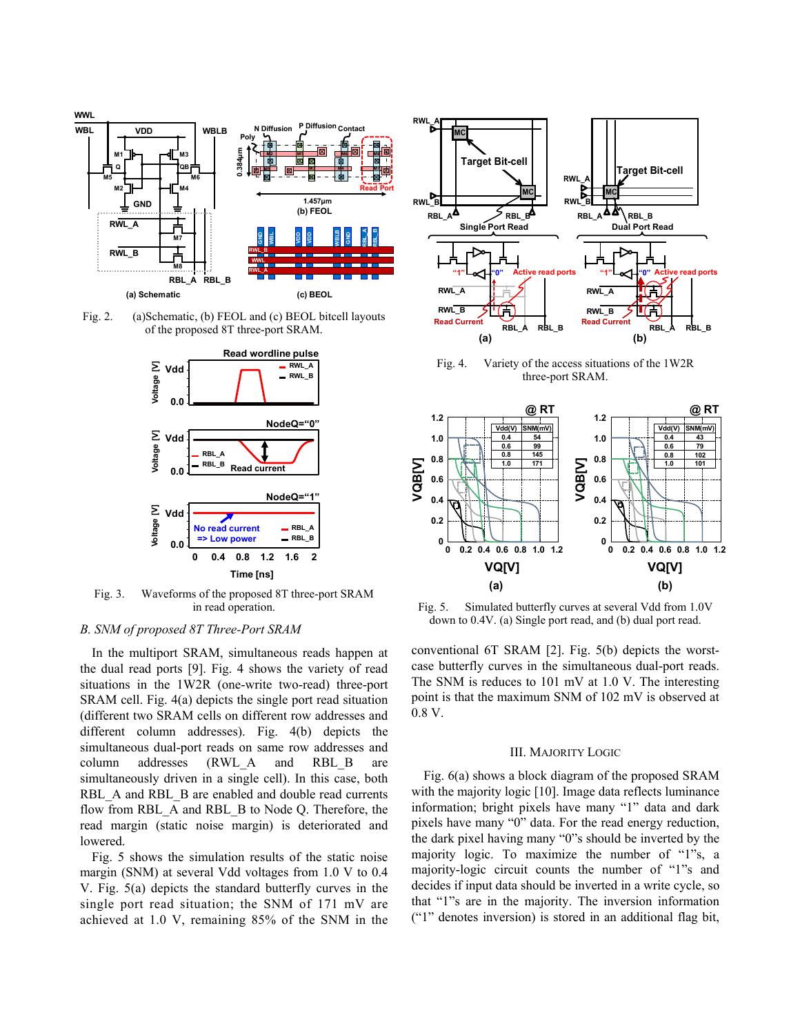

Fig. 2. (a)Schematic, (b) FEOL and (c) BEOL bitcell layouts of the proposed 8T three-port SRAM.



Fig. 3. Waveforms of the proposed 8T three-port SRAM in read operation.

# *B. SNM of proposed 8T Three-Port SRAM*

In the multiport SRAM, simultaneous reads happen at the dual read ports [9]. Fig. 4 shows the variety of read situations in the 1W2R (one-write two-read) three-port SRAM cell. Fig. 4(a) depicts the single port read situation (different two SRAM cells on different row addresses and different column addresses). Fig. 4(b) depicts the simultaneous dual-port reads on same row addresses and column addresses (RWL\_A and RBL\_B are simultaneously driven in a single cell). In this case, both RBL\_A and RBL\_B are enabled and double read currents flow from RBL\_A and RBL\_B to Node Q. Therefore, the read margin (static noise margin) is deteriorated and lowered.

Fig. 5 shows the simulation results of the static noise margin (SNM) at several Vdd voltages from 1.0 V to 0.4 V. Fig. 5(a) depicts the standard butterfly curves in the single port read situation; the SNM of 171 mV are achieved at 1.0 V, remaining 85% of the SNM in the



Fig. 4. Variety of the access situations of the 1W2R three-port SRAM.



Fig. 5. Simulated butterfly curves at several Vdd from 1.0V down to 0.4V. (a) Single port read, and (b) dual port read.

conventional 6T SRAM [2]. Fig. 5(b) depicts the worstcase butterfly curves in the simultaneous dual-port reads. The SNM is reduces to 101 mV at 1.0 V. The interesting point is that the maximum SNM of 102 mV is observed at 0.8 V.

#### III. MAJORITY LOGIC

Fig. 6(a) shows a block diagram of the proposed SRAM with the majority logic [10]. Image data reflects luminance information; bright pixels have many "1" data and dark pixels have many "0" data. For the read energy reduction, the dark pixel having many "0"s should be inverted by the majority logic. To maximize the number of "1"s, a majority-logic circuit counts the number of "1"s and decides if input data should be inverted in a write cycle, so that "1"s are in the majority. The inversion information ("1" denotes inversion) is stored in an additional flag bit,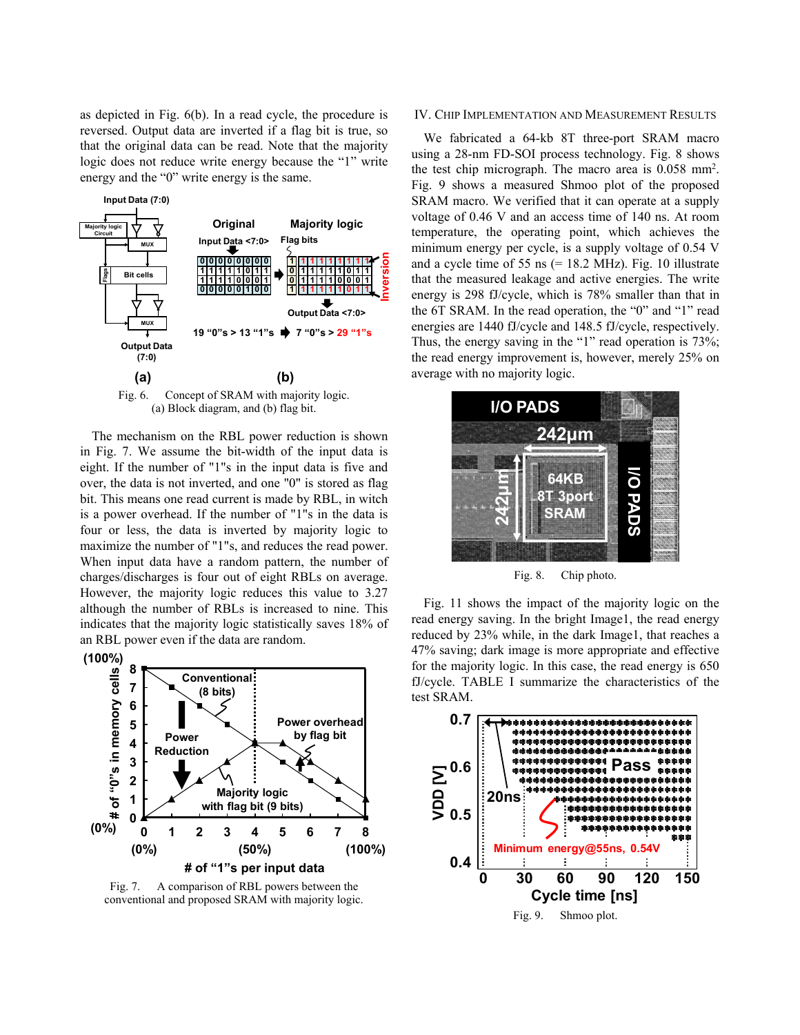as depicted in Fig. 6(b). In a read cycle, the procedure is reversed. Output data are inverted if a flag bit is true, so that the original data can be read. Note that the majority logic does not reduce write energy because the "1" write energy and the "0" write energy is the same.



Fig. 6. Concept of SRAM with majority logic. (a) Block diagram, and (b) flag bit.

The mechanism on the RBL power reduction is shown in Fig. 7. We assume the bit-width of the input data is eight. If the number of "1"s in the input data is five and over, the data is not inverted, and one "0" is stored as flag bit. This means one read current is made by RBL, in witch is a power overhead. If the number of "1"s in the data is four or less, the data is inverted by majority logic to maximize the number of "1"s, and reduces the read power. When input data have a random pattern, the number of charges/discharges is four out of eight RBLs on average. However, the majority logic reduces this value to 3.27 although the number of RBLs is increased to nine. This indicates that the majority logic statistically saves 18% of an RBL power even if the data are random.



Fig. 7. A comparison of RBL powers between the conventional and proposed SRAM with majority logic.

#### IV. CHIP IMPLEMENTATION AND MEASUREMENT RESULTS

We fabricated a 64-kb 8T three-port SRAM macro using a 28-nm FD-SOI process technology. Fig. 8 shows the test chip micrograph. The macro area is 0.058 mm2 . Fig. 9 shows a measured Shmoo plot of the proposed SRAM macro. We verified that it can operate at a supply voltage of 0.46 V and an access time of 140 ns. At room temperature, the operating point, which achieves the minimum energy per cycle, is a supply voltage of 0.54 V and a cycle time of 55 ns  $(= 18.2 \text{ MHz})$ . Fig. 10 illustrate that the measured leakage and active energies. The write energy is 298 fJ/cycle, which is 78% smaller than that in the 6T SRAM. In the read operation, the "0" and "1" read energies are 1440 fJ/cycle and 148.5 fJ/cycle, respectively. Thus, the energy saving in the "1" read operation is 73%; the read energy improvement is, however, merely 25% on average with no majority logic.



Fig. 8. Chip photo.

Fig. 11 shows the impact of the majority logic on the read energy saving. In the bright Image1, the read energy reduced by 23% while, in the dark Image1, that reaches a 47% saving; dark image is more appropriate and effective for the majority logic. In this case, the read energy is 650 fJ/cycle. TABLE I summarize the characteristics of the test SRAM.